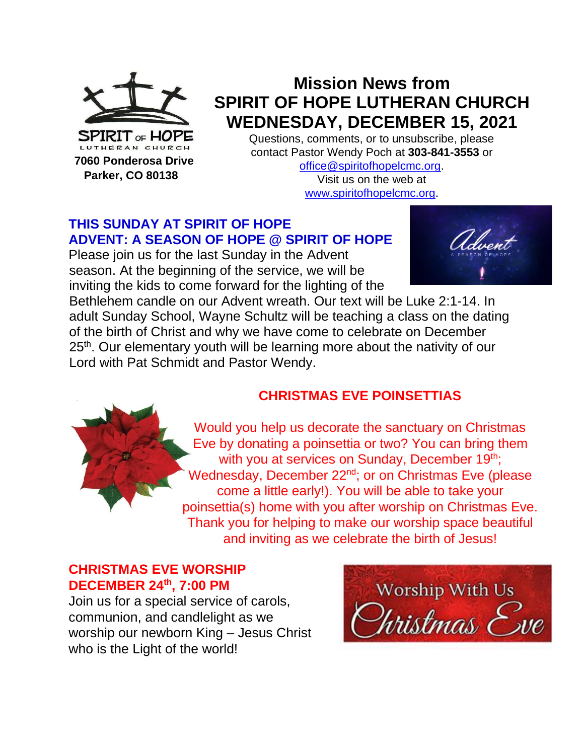

 **Parker, CO 80138**

**Mission News from SPIRIT OF HOPE LUTHERAN CHURCH WEDNESDAY, DECEMBER 15, 2021**

Questions, comments, or to unsubscribe, please contact Pastor Wendy Poch at **303-841-3553** or [office@spiritofhopelcmc.org.](mailto:office@spiritofhopelcmc.org)

Visit us on the web at [www.spiritofhopelcmc.org.](http://www.spiritofhopelcmc.org/)

### **THIS SUNDAY AT SPIRIT OF HOPE ADVENT: A SEASON OF HOPE @ SPIRIT OF HOPE**

Please join us for the last Sunday in the Advent season. At the beginning of the service, we will be inviting the kids to come forward for the lighting of the



Bethlehem candle on our Advent wreath. Our text will be Luke 2:1-14. In adult Sunday School, Wayne Schultz will be teaching a class on the dating of the birth of Christ and why we have come to celebrate on December 25<sup>th</sup>. Our elementary youth will be learning more about the nativity of our Lord with Pat Schmidt and Pastor Wendy.

### **CHRISTMAS EVE POINSETTIAS**

Would you help us decorate the sanctuary on Christmas Eve by donating a poinsettia or two? You can bring them with you at services on Sunday, December 19<sup>th</sup>; Wednesday, December 22<sup>nd</sup>; or on Christmas Eve (please come a little early!). You will be able to take your poinsettia(s) home with you after worship on Christmas Eve. Thank you for helping to make our worship space beautiful and inviting as we celebrate the birth of Jesus!

#### **CHRISTMAS EVE WORSHIP DECEMBER 24th, 7:00 PM**

Join us for a special service of carols, communion, and candlelight as we worship our newborn King – Jesus Christ who is the Light of the world!

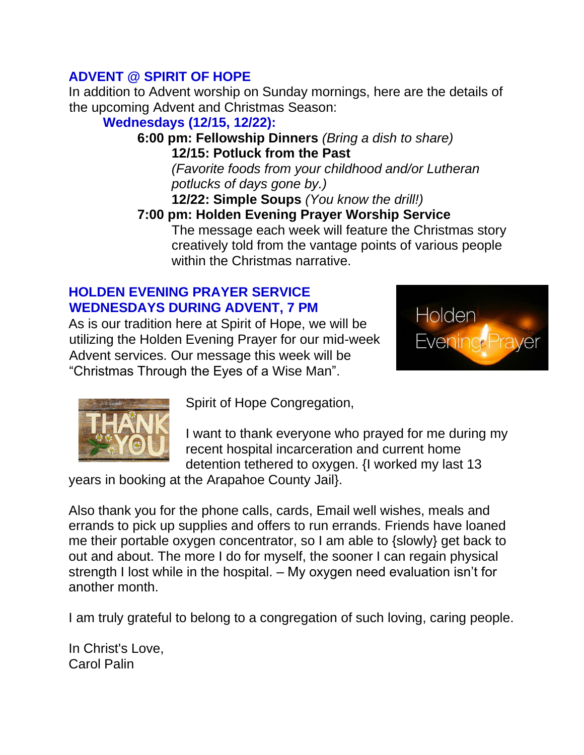### **ADVENT @ SPIRIT OF HOPE**

In addition to Advent worship on Sunday mornings, here are the details of the upcoming Advent and Christmas Season:

# **Wednesdays (12/15, 12/22):**

**6:00 pm: Fellowship Dinners** *(Bring a dish to share)* **12/15: Potluck from the Past** *(Favorite foods from your childhood and/or Lutheran potlucks of days gone by.)*

**12/22: Simple Soups** *(You know the drill!)*

#### **7:00 pm: Holden Evening Prayer Worship Service** The message each week will feature the Christmas story creatively told from the vantage points of various people within the Christmas narrative.

### **HOLDEN EVENING PRAYER SERVICE WEDNESDAYS DURING ADVENT, 7 PM**

As is our tradition here at Spirit of Hope, we will be utilizing the Holden Evening Prayer for our mid-week Advent services. Our message this week will be "Christmas Through the Eyes of a Wise Man".





Spirit of Hope Congregation,

I want to thank everyone who prayed for me during my recent hospital incarceration and current home detention tethered to oxygen. {I worked my last 13

years in booking at the Arapahoe County Jail}.

Also thank you for the phone calls, cards, Email well wishes, meals and errands to pick up supplies and offers to run errands. Friends have loaned me their portable oxygen concentrator, so I am able to {slowly} get back to out and about. The more I do for myself, the sooner I can regain physical strength I lost while in the hospital. – My oxygen need evaluation isn't for another month.

I am truly grateful to belong to a congregation of such loving, caring people.

In Christ's Love, Carol Palin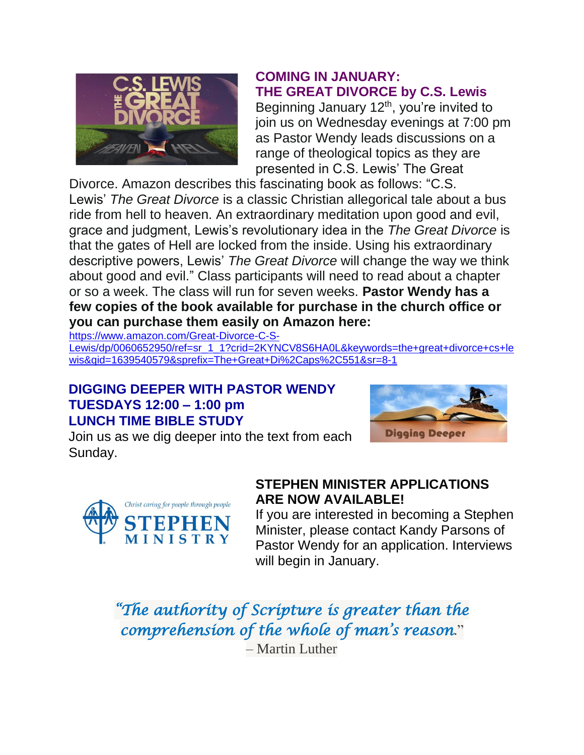

### **COMING IN JANUARY: THE GREAT DIVORCE by C.S. Lewis**

Beginning January 12<sup>th</sup>, you're invited to join us on Wednesday evenings at 7:00 pm as Pastor Wendy leads discussions on a range of theological topics as they are presented in C.S. Lewis' The Great

Divorce. Amazon describes this fascinating book as follows: "C.S. Lewis' *The Great Divorce* is a classic Christian allegorical tale about a bus ride from hell to heaven. An extraordinary meditation upon good and evil, grace and judgment, Lewis's revolutionary idea in the *The Great Divorce* is that the gates of Hell are locked from the inside. Using his extraordinary descriptive powers, Lewis' *The Great Divorce* will change the way we think about good and evil." Class participants will need to read about a chapter or so a week. The class will run for seven weeks. **Pastor Wendy has a few copies of the book available for purchase in the church office or you can purchase them easily on Amazon here:** 

[https://www.amazon.com/Great-Divorce-C-S-](https://www.amazon.com/Great-Divorce-C-S-Lewis/dp/0060652950/ref=sr_1_1?crid=2KYNCV8S6HA0L&keywords=the+great+divorce+cs+lewis&qid=1639540579&sprefix=The+Great+Di%2Caps%2C551&sr=8-1)

[Lewis/dp/0060652950/ref=sr\\_1\\_1?crid=2KYNCV8S6HA0L&keywords=the+great+divorce+cs+le](https://www.amazon.com/Great-Divorce-C-S-Lewis/dp/0060652950/ref=sr_1_1?crid=2KYNCV8S6HA0L&keywords=the+great+divorce+cs+lewis&qid=1639540579&sprefix=The+Great+Di%2Caps%2C551&sr=8-1) [wis&qid=1639540579&sprefix=The+Great+Di%2Caps%2C551&sr=8-1](https://www.amazon.com/Great-Divorce-C-S-Lewis/dp/0060652950/ref=sr_1_1?crid=2KYNCV8S6HA0L&keywords=the+great+divorce+cs+lewis&qid=1639540579&sprefix=The+Great+Di%2Caps%2C551&sr=8-1)

#### **DIGGING DEEPER WITH PASTOR WENDY TUESDAYS 12:00 – 1:00 pm LUNCH TIME BIBLE STUDY**



Join us as we dig deeper into the text from each Sunday.



### **STEPHEN MINISTER APPLICATIONS ARE NOW AVAILABLE!**

If you are interested in becoming a Stephen Minister, please contact Kandy Parsons of Pastor Wendy for an application. Interviews will begin in January.

*"The authority of Scripture is greater than the comprehension of the whole of man's reason*." – Martin Luther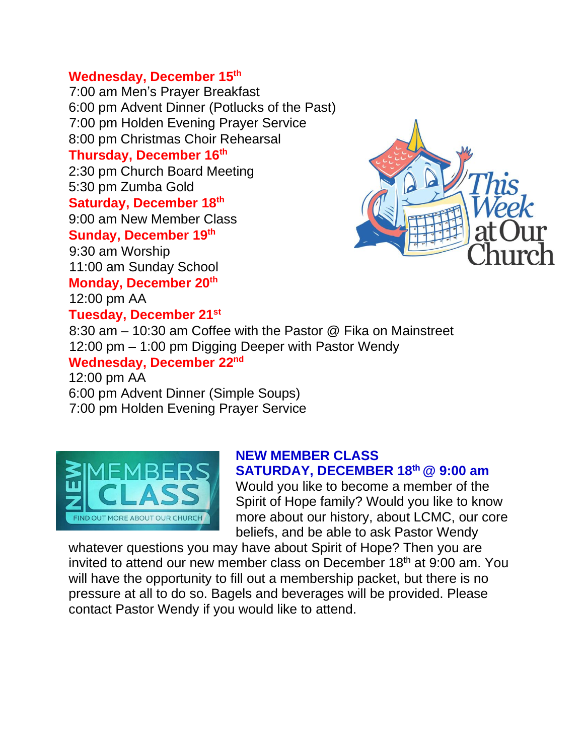#### **Wednesday, December 15th**

7:00 am Men's Prayer Breakfast 6:00 pm Advent Dinner (Potlucks of the Past) 7:00 pm Holden Evening Prayer Service 8:00 pm Christmas Choir Rehearsal **Thursday, December 16th** 2:30 pm Church Board Meeting 5:30 pm Zumba Gold **Saturday, December 18th** 9:00 am New Member Class **Sunday, December 19 th** 9:30 am Worship 11:00 am Sunday School **Monday, December 20th** 12:00 pm AA **Tuesday, December 21st** 8:30 am – 10:30 am Coffee with the Pastor @ Fika on Mainstreet 12:00 pm – 1:00 pm Digging Deeper with Pastor Wendy **Wednesday, December 22nd**

12:00 pm AA 6:00 pm Advent Dinner (Simple Soups) 7:00 pm Holden Evening Prayer Service



#### **NEW MEMBER CLASS SATURDAY, DECEMBER 18th @ 9:00 am**

Would you like to become a member of the Spirit of Hope family? Would you like to know more about our history, about LCMC, our core beliefs, and be able to ask Pastor Wendy

whatever questions you may have about Spirit of Hope? Then you are invited to attend our new member class on December 18<sup>th</sup> at 9:00 am. You will have the opportunity to fill out a membership packet, but there is no pressure at all to do so. Bagels and beverages will be provided. Please contact Pastor Wendy if you would like to attend.

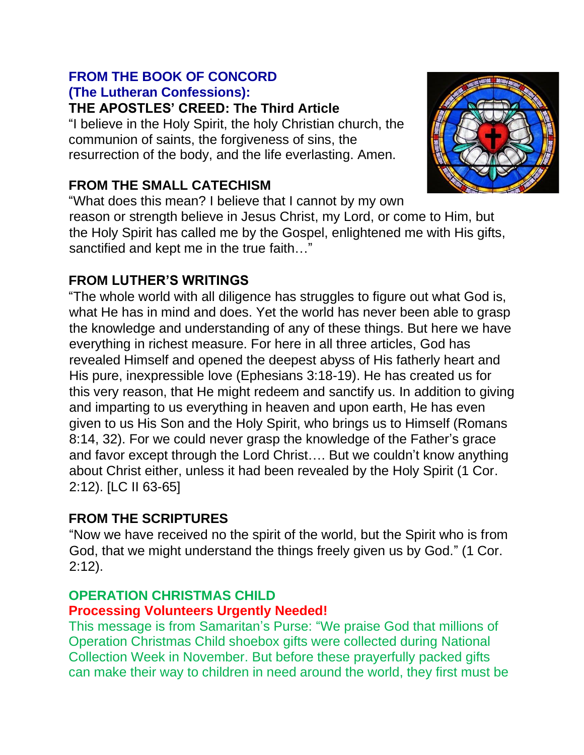# **FROM THE BOOK OF CONCORD (The Lutheran Confessions):**

**THE APOSTLES' CREED: The Third Article**

"I believe in the Holy Spirit, the holy Christian church, the communion of saints, the forgiveness of sins, the resurrection of the body, and the life everlasting. Amen.

### **FROM THE SMALL CATECHISM**

"What does this mean? I believe that I cannot by my own reason or strength believe in Jesus Christ, my Lord, or come to Him, but the Holy Spirit has called me by the Gospel, enlightened me with His gifts, sanctified and kept me in the true faith…"

### **FROM LUTHER'S WRITINGS**

"The whole world with all diligence has struggles to figure out what God is, what He has in mind and does. Yet the world has never been able to grasp the knowledge and understanding of any of these things. But here we have everything in richest measure. For here in all three articles, God has revealed Himself and opened the deepest abyss of His fatherly heart and His pure, inexpressible love (Ephesians 3:18-19). He has created us for this very reason, that He might redeem and sanctify us. In addition to giving and imparting to us everything in heaven and upon earth, He has even given to us His Son and the Holy Spirit, who brings us to Himself (Romans 8:14, 32). For we could never grasp the knowledge of the Father's grace and favor except through the Lord Christ…. But we couldn't know anything about Christ either, unless it had been revealed by the Holy Spirit (1 Cor. 2:12). [LC II 63-65]

# **FROM THE SCRIPTURES**

"Now we have received no the spirit of the world, but the Spirit who is from God, that we might understand the things freely given us by God." (1 Cor. 2:12).

# **OPERATION CHRISTMAS CHILD**

### **Processing Volunteers Urgently Needed!**

This message is from Samaritan's Purse: "We praise God that millions of Operation Christmas Child shoebox gifts were collected during National Collection Week in November. But before these prayerfully packed gifts can make their way to children in need around the world, they first must be

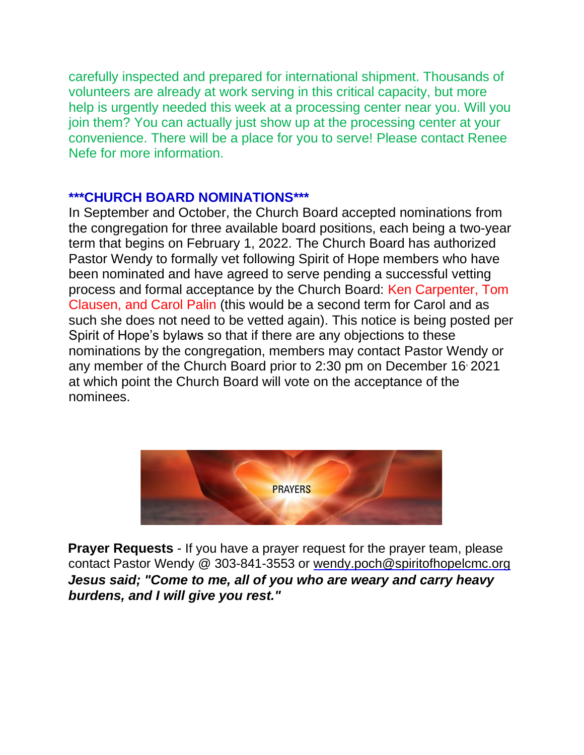carefully inspected and prepared for international shipment. Thousands of volunteers are already at work serving in this critical capacity, but more help is urgently needed this week at a processing center near you. Will you join them? You can actually just show up at the processing center at your convenience. There will be a place for you to serve! Please contact Renee Nefe for more information.

#### **\*\*\*CHURCH BOARD NOMINATIONS\*\*\***

In September and October, the Church Board accepted nominations from the congregation for three available board positions, each being a two-year term that begins on February 1, 2022. The Church Board has authorized Pastor Wendy to formally vet following Spirit of Hope members who have been nominated and have agreed to serve pending a successful vetting process and formal acceptance by the Church Board: Ken Carpenter, Tom Clausen, and Carol Palin (this would be a second term for Carol and as such she does not need to be vetted again). This notice is being posted per Spirit of Hope's bylaws so that if there are any objections to these nominations by the congregation, members may contact Pastor Wendy or any member of the Church Board prior to 2:30 pm on December 16<sup>,</sup> 2021 at which point the Church Board will vote on the acceptance of the nominees.



**Prayer Requests** - If you have a prayer request for the prayer team, please contact Pastor Wendy @ 303-841-3553 or wendy.poch@spiritofhopelcmc.org *Jesus said; "Come to me, all of you who are weary and carry heavy burdens, and I will give you rest."*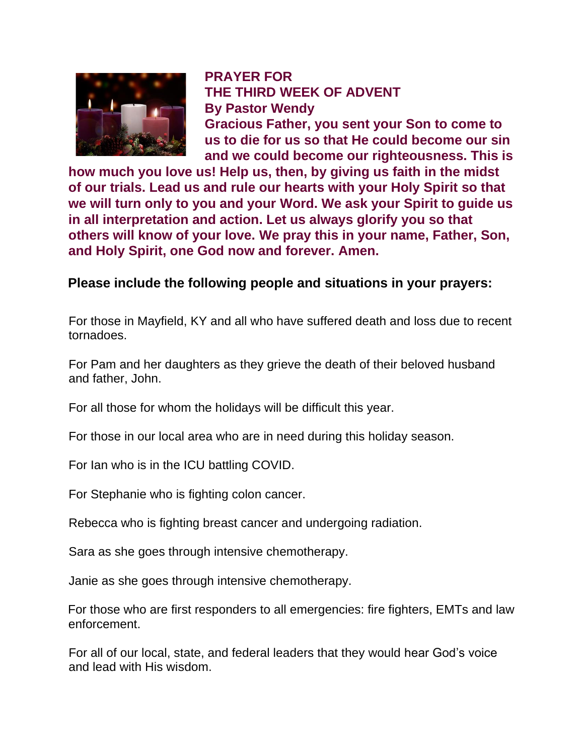

**PRAYER FOR THE THIRD WEEK OF ADVENT By Pastor Wendy Gracious Father, you sent your Son to come to us to die for us so that He could become our sin and we could become our righteousness. This is** 

**how much you love us! Help us, then, by giving us faith in the midst of our trials. Lead us and rule our hearts with your Holy Spirit so that we will turn only to you and your Word. We ask your Spirit to guide us in all interpretation and action. Let us always glorify you so that others will know of your love. We pray this in your name, Father, Son, and Holy Spirit, one God now and forever. Amen.**

**Please include the following people and situations in your prayers:** 

For those in Mayfield, KY and all who have suffered death and loss due to recent tornadoes.

For Pam and her daughters as they grieve the death of their beloved husband and father, John.

For all those for whom the holidays will be difficult this year.

For those in our local area who are in need during this holiday season.

For Ian who is in the ICU battling COVID.

For Stephanie who is fighting colon cancer.

Rebecca who is fighting breast cancer and undergoing radiation.

Sara as she goes through intensive chemotherapy.

Janie as she goes through intensive chemotherapy.

For those who are first responders to all emergencies: fire fighters, EMTs and law enforcement.

For all of our local, state, and federal leaders that they would hear God's voice and lead with His wisdom.